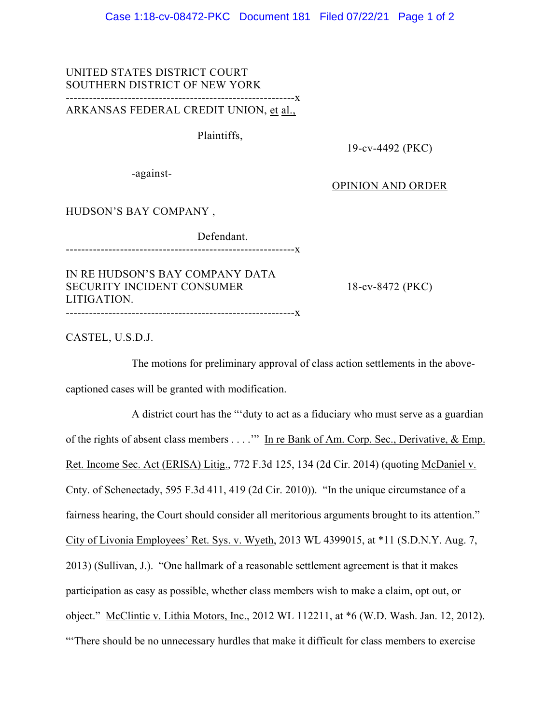## UNITED STATES DISTRICT COURT SOUTHERN DISTRICT OF NEW YORK -----------------------------------------------------------x

ARKANSAS FEDERAL CREDIT UNION, et al.,

Plaintiffs,

19-cv-4492 (PKC)

-against-

OPINION AND ORDER

HUDSON'S BAY COMPANY ,

Defendant. -----------------------------------------------------------x

IN RE HUDSON'S BAY COMPANY DATA SECURITY INCIDENT CONSUMER 18-cv-8472 (PKC) LITIGATION. -----------------------------------------------------------x

CASTEL, U.S.D.J.

The motions for preliminary approval of class action settlements in the abovecaptioned cases will be granted with modification.

A district court has the "'duty to act as a fiduciary who must serve as a guardian of the rights of absent class members . . . .'" In re Bank of Am. Corp. Sec., Derivative, & Emp. Ret. Income Sec. Act (ERISA) Litig., 772 F.3d 125, 134 (2d Cir. 2014) (quoting McDaniel v. Cnty. of Schenectady, 595 F.3d 411, 419 (2d Cir. 2010)). "In the unique circumstance of a fairness hearing, the Court should consider all meritorious arguments brought to its attention." City of Livonia Employees' Ret. Sys. v. Wyeth, 2013 WL 4399015, at \*11 (S.D.N.Y. Aug. 7, 2013) (Sullivan, J.). "One hallmark of a reasonable settlement agreement is that it makes participation as easy as possible, whether class members wish to make a claim, opt out, or object." McClintic v. Lithia Motors, Inc., 2012 WL 112211, at \*6 (W.D. Wash. Jan. 12, 2012). "'There should be no unnecessary hurdles that make it difficult for class members to exercise